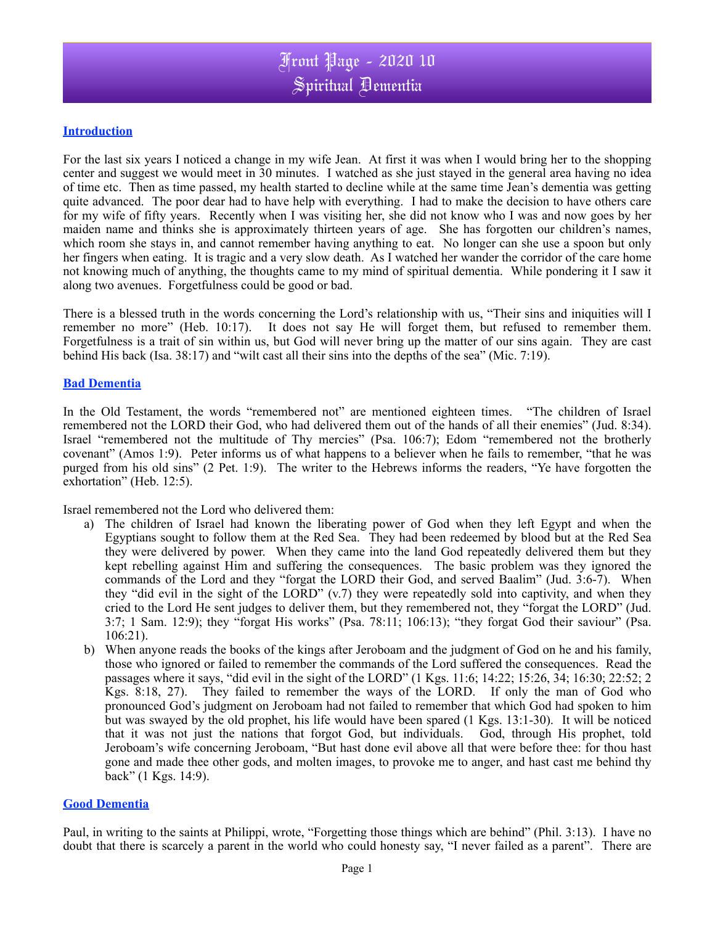# **Introduction**

For the last six years I noticed a change in my wife Jean. At first it was when I would bring her to the shopping center and suggest we would meet in 30 minutes. I watched as she just stayed in the general area having no idea of time etc. Then as time passed, my health started to decline while at the same time Jean's dementia was getting quite advanced. The poor dear had to have help with everything. I had to make the decision to have others care for my wife of fifty years. Recently when I was visiting her, she did not know who I was and now goes by her maiden name and thinks she is approximately thirteen years of age. She has forgotten our children's names, which room she stays in, and cannot remember having anything to eat. No longer can she use a spoon but only her fingers when eating. It is tragic and a very slow death. As I watched her wander the corridor of the care home not knowing much of anything, the thoughts came to my mind of spiritual dementia. While pondering it I saw it along two avenues. Forgetfulness could be good or bad.

There is a blessed truth in the words concerning the Lord's relationship with us, "Their sins and iniquities will I remember no more" (Heb. 10:17). It does not say He will forget them, but refused to remember them. Forgetfulness is a trait of sin within us, but God will never bring up the matter of our sins again. They are cast behind His back (Isa. 38:17) and "wilt cast all their sins into the depths of the sea" (Mic. 7:19).

# **Bad Dementia**

In the Old Testament, the words "remembered not" are mentioned eighteen times. "The children of Israel remembered not the LORD their God, who had delivered them out of the hands of all their enemies" (Jud. 8:34). Israel "remembered not the multitude of Thy mercies" (Psa. 106:7); Edom "remembered not the brotherly covenant" (Amos 1:9). Peter informs us of what happens to a believer when he fails to remember, "that he was purged from his old sins" (2 Pet. 1:9). The writer to the Hebrews informs the readers, "Ye have forgotten the exhortation" (Heb. 12:5).

Israel remembered not the Lord who delivered them:

- a) The children of Israel had known the liberating power of God when they left Egypt and when the Egyptians sought to follow them at the Red Sea. They had been redeemed by blood but at the Red Sea they were delivered by power. When they came into the land God repeatedly delivered them but they kept rebelling against Him and suffering the consequences. The basic problem was they ignored the commands of the Lord and they "forgat the LORD their God, and served Baalim" (Jud. 3:6-7). When they "did evil in the sight of the LORD" (v.7) they were repeatedly sold into captivity, and when they cried to the Lord He sent judges to deliver them, but they remembered not, they "forgat the LORD" (Jud. 3:7; 1 Sam. 12:9); they "forgat His works" (Psa. 78:11; 106:13); "they forgat God their saviour" (Psa. 106:21).
- b) When anyone reads the books of the kings after Jeroboam and the judgment of God on he and his family, those who ignored or failed to remember the commands of the Lord suffered the consequences. Read the passages where it says, "did evil in the sight of the LORD" (1 Kgs. 11:6; 14:22; 15:26, 34; 16:30; 22:52; 2 Kgs. 8:18, 27). They failed to remember the ways of the LORD. If only the man of God who pronounced God's judgment on Jeroboam had not failed to remember that which God had spoken to him but was swayed by the old prophet, his life would have been spared (1 Kgs. 13:1-30). It will be noticed that it was not just the nations that forgot God, but individuals. God, through His prophet, told Jeroboam's wife concerning Jeroboam, "But hast done evil above all that were before thee: for thou hast gone and made thee other gods, and molten images, to provoke me to anger, and hast cast me behind thy back" (1 Kgs. 14:9).

### **Good Dementia**

Paul, in writing to the saints at Philippi, wrote, "Forgetting those things which are behind" (Phil. 3:13). I have no doubt that there is scarcely a parent in the world who could honesty say, "I never failed as a parent". There are